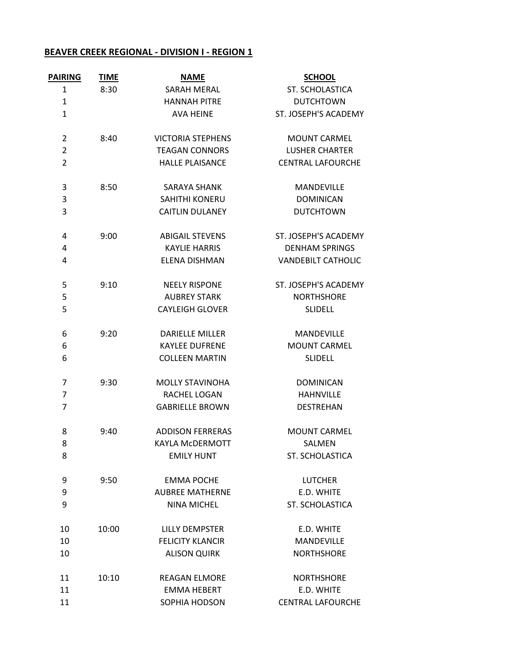## **BEAVER CREEK REGIONAL - DIVISION I - REGION 1**

| <b>PAIRING</b> | <b>TIME</b> | <b>NAME</b>              | <b>SCHOOL</b>             |
|----------------|-------------|--------------------------|---------------------------|
| 1              | 8:30        | <b>SARAH MERAL</b>       | ST. SCHOLASTICA           |
| 1              |             | <b>HANNAH PITRE</b>      | <b>DUTCHTOWN</b>          |
| $\mathbf{1}$   |             | <b>AVA HEINE</b>         | ST. JOSEPH'S ACADEMY      |
| 2              | 8:40        | <b>VICTORIA STEPHENS</b> | <b>MOUNT CARMEL</b>       |
| $\overline{2}$ |             | <b>TEAGAN CONNORS</b>    | <b>LUSHER CHARTER</b>     |
| $\overline{2}$ |             | <b>HALLE PLAISANCE</b>   | <b>CENTRAL LAFOURCHE</b>  |
| 3              | 8:50        | <b>SARAYA SHANK</b>      | <b>MANDEVILLE</b>         |
| 3              |             | <b>SAHITHI KONERU</b>    | <b>DOMINICAN</b>          |
| 3              |             | <b>CAITLIN DULANEY</b>   | <b>DUTCHTOWN</b>          |
| 4              | 9:00        | <b>ABIGAIL STEVENS</b>   | ST. JOSEPH'S ACADEMY      |
| 4              |             | <b>KAYLIE HARRIS</b>     | <b>DENHAM SPRINGS</b>     |
| 4              |             | ELENA DISHMAN            | <b>VANDEBILT CATHOLIC</b> |
| 5              | 9:10        | <b>NEELY RISPONE</b>     | ST. JOSEPH'S ACADEMY      |
| 5              |             | <b>AUBREY STARK</b>      | <b>NORTHSHORE</b>         |
| 5              |             | <b>CAYLEIGH GLOVER</b>   | <b>SLIDELL</b>            |
| 6              | 9:20        | <b>DARIELLE MILLER</b>   | <b>MANDEVILLE</b>         |
| 6              |             | <b>KAYLEE DUFRENE</b>    | <b>MOUNT CARMEL</b>       |
| 6              |             | <b>COLLEEN MARTIN</b>    | <b>SLIDELL</b>            |
| 7              | 9:30        | <b>MOLLY STAVINOHA</b>   | <b>DOMINICAN</b>          |
| 7              |             | RACHEL LOGAN             | <b>HAHNVILLE</b>          |
| 7              |             | <b>GABRIELLE BROWN</b>   | <b>DESTREHAN</b>          |
| 8              | 9:40        | <b>ADDISON FERRERAS</b>  | <b>MOUNT CARMEL</b>       |
| 8              |             | <b>KAYLA McDERMOTT</b>   | SALMEN                    |
| 8              |             | <b>EMILY HUNT</b>        | ST. SCHOLASTICA           |
| 9              | 9:50        | <b>EMMA POCHE</b>        | <b>LUTCHER</b>            |
| 9              |             | <b>AUBREE MATHERNE</b>   | E.D. WHITE                |
| 9              |             | <b>NINA MICHEL</b>       | ST. SCHOLASTICA           |
| 10             | 10:00       | <b>LILLY DEMPSTER</b>    | E.D. WHITE                |
| 10             |             | <b>FELICITY KLANCIR</b>  | <b>MANDEVILLE</b>         |
| 10             |             | <b>ALISON QUIRK</b>      | <b>NORTHSHORE</b>         |
| 11             | 10:10       | <b>REAGAN ELMORE</b>     | <b>NORTHSHORE</b>         |
| 11             |             | <b>EMMA HEBERT</b>       | E.D. WHITE                |
| 11             |             | SOPHIA HODSON            | <b>CENTRAL LAFOURCHE</b>  |